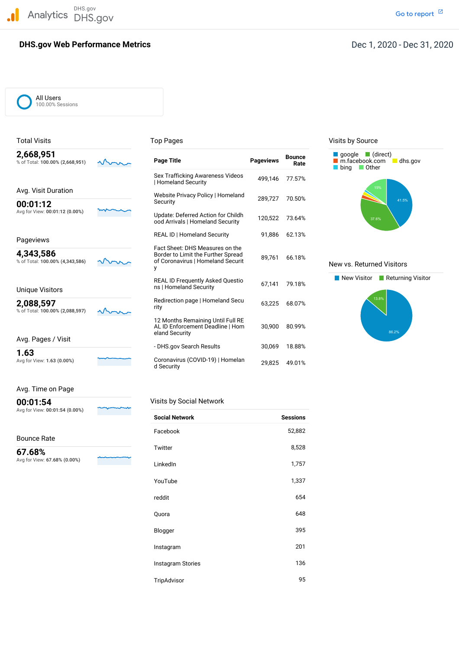DHS.gov Analytics DHS.gov and the contract of the contract of the contract of the contract of the contract of the contract of the contract of the contract of the contract of the contract of the contract of the contract of the cont

# **DHS.gov Web Performance Metrics**

All Users 100.00% Sessions

| 2,668,951<br>% of Total: 100.00% (2,668,951) | <b>Page Title</b>                                                                                               | <b>Pageviews</b> | <b>Bounce</b><br>Rate | $\blacksquare$ (direct)<br>google<br>m.facebook.com<br>dhs.gov<br>l Other<br>bing |
|----------------------------------------------|-----------------------------------------------------------------------------------------------------------------|------------------|-----------------------|-----------------------------------------------------------------------------------|
|                                              | Sex Trafficking Awareness Videos<br><b>Homeland Security</b>                                                    | 499.146          | 77.57%                |                                                                                   |
| Avg. Visit Duration                          | Website Privacy Policy   Homeland                                                                               |                  |                       | 15%                                                                               |
| 00:01:12                                     | Security                                                                                                        | 289,727          | 70.50%                | 41.5%                                                                             |
| Avg for View: 00:01:12 (0.00%)               | Update: Deferred Action for Childh<br>ood Arrivals   Homeland Security                                          | 120,522          | 73.64%                | 37.6%                                                                             |
| Pageviews                                    | REAL ID   Homeland Security                                                                                     | 91,886           | 62.13%                |                                                                                   |
| 4,343,586<br>% of Total: 100.00% (4,343,586) | Fact Sheet: DHS Measures on the<br>Border to Limit the Further Spread<br>of Coronavirus   Homeland Securit<br>y | 89,761           | 66.18%                | New vs. Returned Visitors                                                         |
| Unique Visitors                              | <b>REAL ID Frequently Asked Questio</b><br>ns   Homeland Security                                               | 67,141           | 79.18%                | New Visitor<br>Returning Visitor                                                  |
| 2,088,597<br>% of Total: 100.00% (2,088,597) | Redirection page   Homeland Secu<br>rity                                                                        | 63,225           | 68.07%                | 13.8%                                                                             |
|                                              | 12 Months Remaining Until Full RE<br>AL ID Enforcement Deadline   Hom<br>eland Security                         | 30,900           | 80.99%                | 86.2%                                                                             |
| Avg. Pages / Visit                           |                                                                                                                 |                  |                       |                                                                                   |
| 1.63                                         | - DHS.gov Search Results                                                                                        | 30,069           | 18.88%                |                                                                                   |
| Avg for View: 1.63 (0.00%)                   | Coronavirus (COVID-19)   Homelan<br>d Security                                                                  | 29,825           | 49.01%                |                                                                                   |

Total Visits **Top Pages** Top Pages Top Pages Visits by Source





## Avg. Time on Page

**00:01:54** Visits by Social Network

Avg for View: **00:01:54 (0.00%)**

## Bounce Rate

 Avg for View: **67.68% (0.00%) 67.68%**

| <b>Social Network</b>    | <b>Sessions</b> |
|--------------------------|-----------------|
| Facebook                 | 52,882          |
| Twitter                  | 8,528           |
| LinkedIn                 | 1,757           |
| YouTube                  | 1,337           |
| reddit                   | 654             |
| Quora                    | 648             |
| Blogger                  | 395             |
| Instagram                | 201             |
| <b>Instagram Stories</b> | 136             |
|                          |                 |

TripAdvisor 95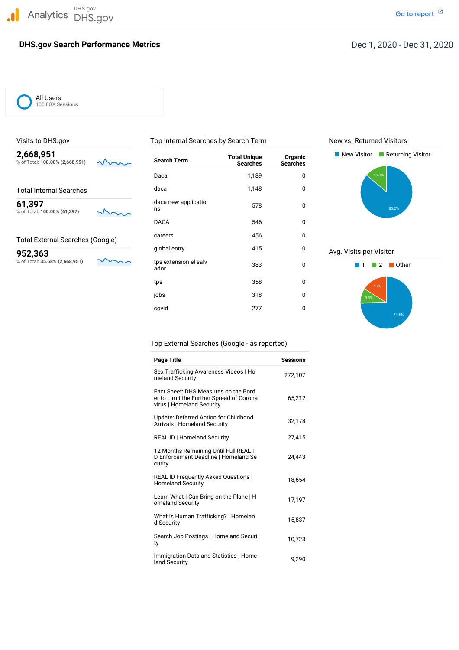DHS.gov Analytics DHS.gov and the contract of the contract of the contract of the contract of the contract of the contract of the contract of the contract of the contract of the contract of the contract of the contract of the cont

## **DHS.gov Search Performance Metrics**

% of Total: **100.00% (61,397)** ns

Go to report<sup>[2]</sup>

All Users 100.00% Sessions

% of Total: 100.00% (2,668,951)

% of Total: 35.68% (2,668,951)

Total External Searches (Google)

Visits to DHS.gov Top Internal Searches by Search Term New vs. Returned Visitors

Daca 1,189 0

DACA 546 0 careers 0

tps 358 0





## Top External Searches (Google - as reported)

| <b>Page Title</b>                                                                                             | <b>Sessions</b> |
|---------------------------------------------------------------------------------------------------------------|-----------------|
| Sex Trafficking Awareness Videos   Ho<br>meland Security                                                      | 272,107         |
| Fact Sheet: DHS Measures on the Bord<br>er to Limit the Further Spread of Corona<br>virus   Homeland Security | 65,212          |
| Update: Deferred Action for Childhood<br>Arrivals   Homeland Security                                         | 32,178          |
| <b>REAL ID   Homeland Security</b>                                                                            | 27,415          |
| 12 Months Remaining Until Full REAL I<br>D Enforcement Deadline   Homeland Se<br>curity                       | 24,443          |
| <b>REAL ID Frequently Asked Questions  </b><br><b>Homeland Security</b>                                       | 18,654          |
| Learn What I Can Bring on the Plane   H<br>omeland Security                                                   | 17,197          |
| What Is Human Trafficking?   Homelan<br>d Security                                                            | 15,837          |
| Search Job Postings   Homeland Securi<br>ty                                                                   | 10,723          |
| Immigration Data and Statistics   Home<br>land Security                                                       | 9,290           |

| jobs  | 318 | 0 |
|-------|-----|---|
| covid | 277 | 0 |
|       |     |   |

**61,397** daca new applicatio 578 0

Total Internal Searches daca daca 1,148 0

tps extension el salv<br>ador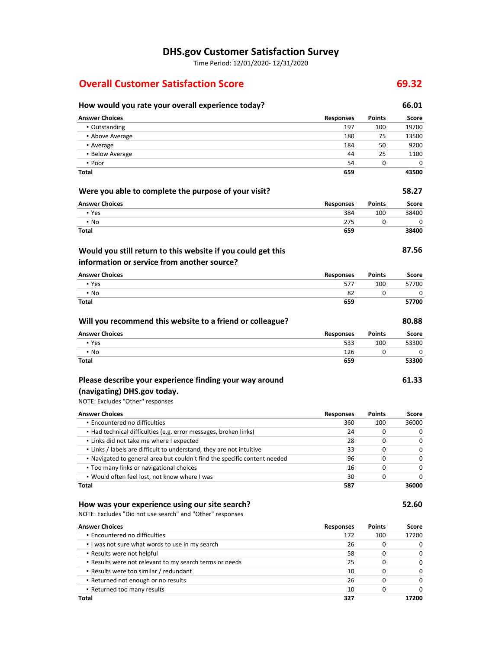## **DHS.gov Customer Satisfaction Survey**

Time Period: 12/01/2020‐ 12/31/2020

# **Overall Customer Satisfaction Score 69.32**

### **How would you rate your overall experience today? 66.01 Were you able to complete the purpose of your visit? 58.27 Answer Choices Responses Points Score** ▪ Outstanding 197 100 19700 ▪ Above Average 180 75 13500 • Average 184 50 9200 184 50 9200 184 50 9200 184 50 9200 184 50 9200 184 50 9200 184 50 9200 184 50 9200 185 1 ▪ Below Average 44 25 1100  $\bullet$  Poor  $\bullet$  0 0 0 0 0  $\bullet$ **Total 659 43500 Answer Choices Responses** 384 275 **659 Points** 100 0

## **Would you still return to this website if you could get this information or service from another source?**

| <b>Answer Choices</b> | Responses | <b>Points</b> | Score |
|-----------------------|-----------|---------------|-------|
| • Yes                 | 577       | 100           | 57700 |
| $\cdot$ No            | 82        |               |       |
| Total                 | 659       |               | 57700 |

| Will you recommend this website to a friend or colleague? |                  |               | 80.88 |
|-----------------------------------------------------------|------------------|---------------|-------|
| <b>Answer Choices</b>                                     | <b>Responses</b> | <b>Points</b> | Score |
| • Yes                                                     | 533              | 100           | 53300 |
| $\cdot$ No                                                | 126              |               |       |
| Total                                                     | 659              |               | 53300 |

# **Please describe your experience finding your way around**

# **(navigating) DHS.gov today.**

▪ Yes ▪ No **Total**

NOTE: Excludes "Other" responses

| <b>Answer Choices</b>                                                     | <b>Responses</b> | <b>Points</b> | Score |
|---------------------------------------------------------------------------|------------------|---------------|-------|
| • Encountered no difficulties                                             | 360              | 100           | 36000 |
| • Had technical difficulties (e.g. error messages, broken links)          | 24               | 0             | O     |
| . Links did not take me where I expected                                  | 28               | 0             | 0     |
| . Links / labels are difficult to understand, they are not intuitive      | 33               | 0             | 0     |
| . Navigated to general area but couldn't find the specific content needed | 96               | O             | o     |
| • Too many links or navigational choices                                  | 16               | O             | 0     |
| . Would often feel lost, not know where I was                             | 30               |               | o     |
| Total                                                                     | 587              |               | 36000 |

## **How was your experience using our site search?**

NOTE: Excludes "Did not use search" and "Other" responses

| <b>Answer Choices</b>                                   | <b>Responses</b> | <b>Points</b> | Score    |
|---------------------------------------------------------|------------------|---------------|----------|
| • Encountered no difficulties                           | 172              | 100           | 17200    |
| I was not sure what words to use in my search           | 26               | 0             | 0        |
| • Results were not helpful                              | 58               | O             | 0        |
| . Results were not relevant to my search terms or needs | 25               | 0             | 0        |
| • Results were too similar / redundant                  | 10               | O             | $\Omega$ |
| • Returned not enough or no results                     | 26               | ი             | $\Omega$ |
| • Returned too many results                             | 10               |               | 0        |
| Total                                                   | 327              |               | 17200    |

**Score** 38400  $\overline{\mathbf{0}}$ **38400**

**87.56**

**61.33**

**52.60**